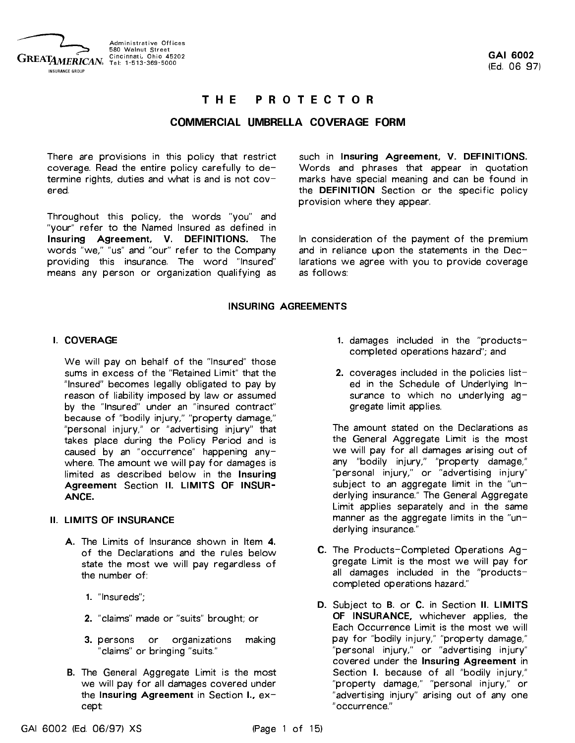

#### **PROTECTOR** THE

#### COMMERCIAL UMBRELLA COVERAGE FORM

There are provisions in this policy that restrict coverage. Read the entire policy carefully to determine rights, duties and what is and is not  $cov$ ered.

Throughout this policy, the words "you" and "your" refer to the Named Insured as defined in Insuring Agreement, V. DEFINITIONS. The words "we," "us" and "our" refer to the Company providing this insurance. The word "Insured" means any person or organization qualifying as

such in Insuring Agreement, V. DEFINITIONS. Words and phrases that appear in quotation marks have special meaning and can be found in the DEFINITION Section or the specific policy provision where they appear.

In consideration of the payment of the premium and in reliance upon the statements in the Declarations we agree with you to provide coverage as follows:

#### INSURING AGREEMENTS

#### I. COVERAGE

We will pay on behalf of the "Insured" those sums in excess of the "Retained Limit" that the "Insured" becomes legally obligated to pay by reason of liability imposed by law or assumed by the "Insured" under an "insured contract" because of "bodily injury," "property damage," "personal injury," or "advertising injury" that takes place during the Policy Period and is caused by an "occurrence" happening anywhere. The amount we will pay for damages is limited as described below in the Insuring Agreement Section II. LIMITS OF INSUR-ANCE.

#### II. LIMITS OF INSURANCE

- A. The Limits of Insurance shown in Item 4. of the Declarations and the rules below state the most we will pay regardless of the number of:
	- 1. "Insureds";
	- 2. "claims" made or "suits" brought; or
	- 3. persons or organizations making "claims" or bringing "suits."
- B. The General Aggregate Limit is the most we will pay for all damages covered under the Insuring Agreement in Section I., except:
- 1. damages included in the "productscompleted operations hazard"; and
- 2. coverages included in the policies listed in the Schedule of Underlying Insurance to which no underlying  $ag$ gregate limit applies.

The amount stated on the Declarations as the General Aggregate Limit is the most we will pay for all damages arising out of any "bodily injury," "property damage," "personal injury," or "advertising injury" subject to an aggregate limit in the "underlying insurance." The General Aggregate Limit applies separately and in the same manner as the aggregate limits in the "underlying insurance."

- C. The Products-Completed Operations Aggregate Limit is the most we will pay for all damages included in the "productscompleted operations hazard."
- D. Subject to B. or C. in Section II. LIMITS OF INSURANCE, whichever applies, the Each Occurrence Limit is the most we will pay for "bodily injury," "property damage," "personal injury," or "advertising injury" covered under the Insuring Agreement in Section I. because of all "bodily injury," "property damage," "personal injury," or "advertising injury" arising out of any one "occurrence."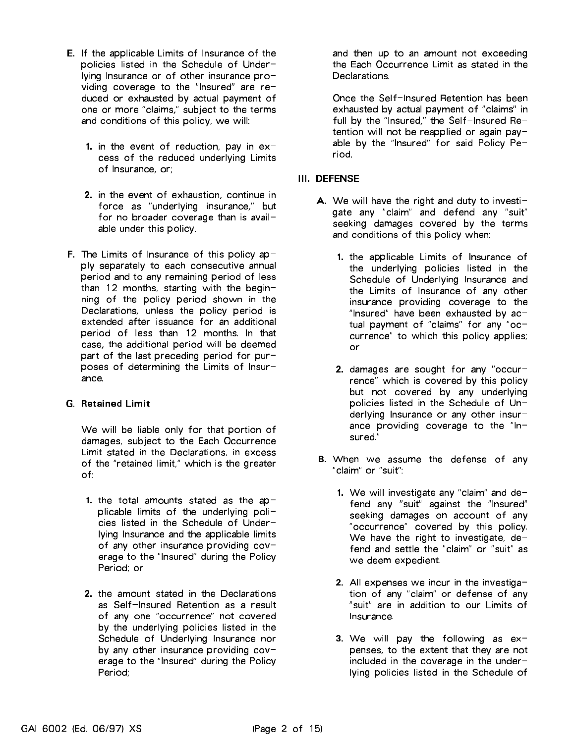- E. If the applicable Limits of Insurance of the policies listed in the Schedule of Underlying Insurance or of other insurance providing coverage to the "Insured" are reduced or exhausted by actual payment of one or more "claims," subject to the terms and conditions of this policy, we will:
	- 1. in the event of reduction, pay in  $ex$ cess of the reduced underlying Limits of Insurance, or: of Insurance, or;
	- 2. in the event of exhaustion, continue in force as "underlying insurance," but for no broader coverage than is available under this policy.
- **F.** The Limits of Insurance of this policy apply separately to each consecutive annual period and to any remaining period of less than <sup>12</sup> months, starting with the beginning of the policy period shown in the Declarations, unless the policy period is extended after issuance for an additional period of less than <sup>12</sup> months. In that case, the additional period will be deemed part of the last preceding period for purposes of determining the Limits of Insurance.

#### G. Retained Limit

We will be liable only for that portion of damages, subject to the Each Occurrence Limit stated in the Declarations, in excess of the "retained limit," which is the greater of:

- 1. the total amounts stated as the applicable limits of the underlying policies listed in the Schedule of Underlying Insurance and the applicable limits of any other insurance providing coverage to the "Insured" during the Policy Period; or
- 2. the amount stated in the Declarations as Self-Insured Retention as <sup>a</sup> result of any one "occurrence" not covered by the underlying policies listed in the Schedule of Underlying Insurance nor by any other insurance providing coverage to the "Insured" during the Policy Period;

and then up to an amount not exceeding the Each Occurrence Limit as stated in the Declarations

Once the Self-Insured Retention has been exhausted by actual payment of "claims" in full by the "Insured," the Self-Insured Retention will not be reapplied or again payable by the "Insured" for said Policy Period.

- A. We will have the right and duty to investigate any "claim" and defend any "suit" seeking damages covered by the terms and conditions of this policy when:
	- 1. the applicable Limits of Insurance of the underlying policies listed in the Schedule of Underlying Insurance and the Limits of Insurance of any other insurance providing coverage to the "Insured" have been exhausted by  $ac$ tual payment of "claims" for any "occurrence" to which this policy applies; or
	- 2. damages are sought for any "occurrence" which is covered by this policy but not covered by any underlying policies listed in the Schedule of Underlying Insurance or any other insurance providing coverage to the "In sured." sured."
- B. When we assume the defense of any "claim" or "suit":
	- **1.** We will investigate any "claim" and defend any "suit" against the "Insured" seeking damages on account of any "occurrence" covered by this policy. We have the right to investigate,  $de$ fend and settle the "claim" or "suit" as we deem expedient.
	- 2. All expenses we incur in the investigation of any "claim" or defense of any "suit" are in addition to our Limits of Insurance.
	- **3.** We will pay the following as  $ex$ penses, to the extent that they are not included in the coverage in the underlying policies listed in the Schedule of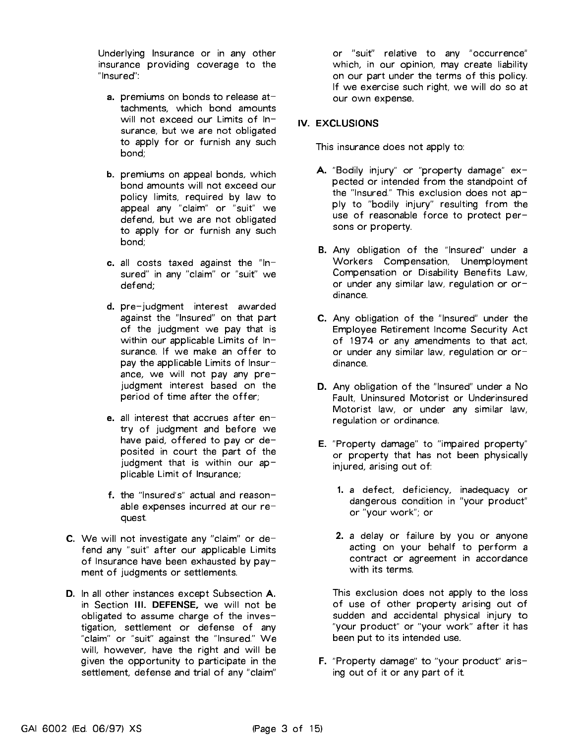Underlying Insurance or in any other insurance providing coverage to the "Insured":

- **a.** premiums on bonds to release attachments, which bond amounts will not exceed our Limits of Insurance, but we are not obligated to apply for or furnish any such bond;
- b. premiums on appeal bonds, which bond amounts will not exceed our policy limits, required by law to appeal any "claim" or "suit" we defend, but we are not obligated to apply for or furnish any such bond;
- c. all costs taxed against the "In sured" in any "claim" or "suit" we defend;
- d. pre-judgment interest awarded against the "Insured" on that part of the judgment we pay that is within our applicable Limits of Insurance. If we make an offer to pay the applicable Limits of Insurance, we will not pay any prejudgment interest based on the period of time after the offer;
- e. all interest that accrues after entry of judgment and before we have paid, offered to pay or deposited in court the part of the judgment that is within our  $ap$ plicable Limit of Insurance;
- f. the "Insured's" actual and reasonable expenses incurred at our request.
- C. We will not investigate any "claim" or defend any "suit" after our applicable Limits of Insurance have been exhausted by payment of judgments or settlements.
- D. In all other instances except Subsection A. in Section III. DEFENSE, we will not be obligated to assume charge of the investigation, settlement or defense of any "claim" or "suit" against the "Insured." We will, however, have the right and will be given the opportunity to participate in the settlement, defense and trial of any "claim"

or "suit" relative to any "occurrence" which, in our opinion, may create liability on our part under the terms of this policy. If we exercise such right, we will do so at our own expense.

# IV. EXCLUSIONS

This insurance does not apply to:

- A. "Bodily injury" or "property damage" expected or intended from the standpoint of the "Insured." This exclusion does not apply to "bodily injury" resulting from the use of reasonable force to protect persons or property.
- B. Any obligation of the "Insured" under <sup>a</sup> Workers Compensation, Unemployment Compensation or Disability Benefits Law, or under any similar law, regulation or ordinance.
- C. Any obligation of the "Insured" under the Employee Retirement Income Security Act of <sup>1974</sup> or any amendments to that act, or under any similar law, regulation or ordinance.
- D. Any obligation of the "Insured" under <sup>a</sup> No Fault, Uninsured Motorist or Underinsured Motorist law, or under any similar law, regulation or ordinance.
- E. "Property damage" to "impaired property" or property that has not been physically injured, arising out of:
	- 1. <sup>a</sup> defect, deficiency, inadequacy or dangerous condition in "your product" or "your work"; or
	- 2. <sup>a</sup> delay or failure by you or anyone acting on your behalf to perform <sup>a</sup> contract or agreement in accordance with its terms.

This exclusion does not apply to the loss of use of other property arising out of sudden and accidental physical injury to "your product" or "your work" after it has been put to its intended use.

F. "Property damage" to "your product" arising out of it or any part of it.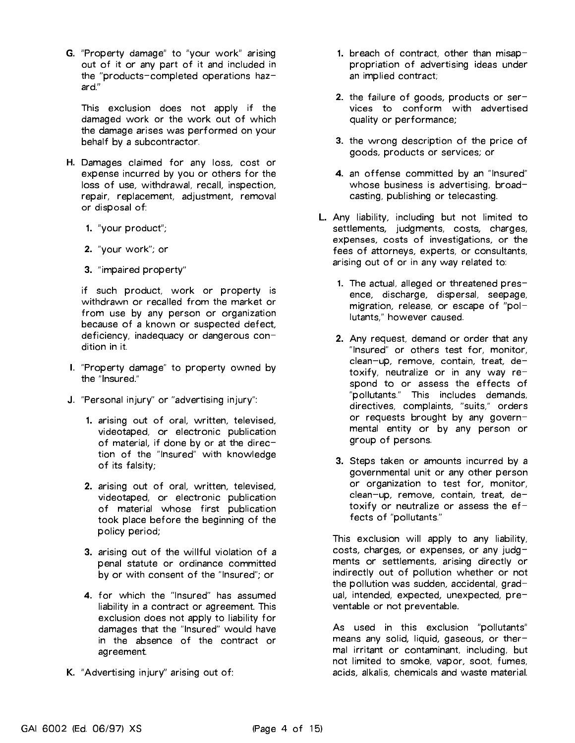G. "Property damage" to "your work" arising out of it or any part of it and included in the "products-completed operations hazard."

This exclusion does not apply if the damaged work or the work out of which the damage arises was performed on your behalf by <sup>a</sup> subcontractor.

- H. Damages claimed for any loss, cost or expense incurred by you or others for the loss of use, withdrawal, recall, inspection, repair, replacement, adjustment, removal or disposal of:
	- 1. "your product";
	- 2. "your work"; or
	- 3. "impaired property"

if such product, work or property is withdrawn or recalled from the market or from use by any person or organization because of <sup>a</sup> known or suspected defect, deficiency, inadequacy or dangerous condition in it.

- I. "Property damage" to property owned by the "Insured."
- J. "Personal injury" or "advertising injury":
	- 1. arising out of oral, written, televised, videotaped, or electronic publication of material, if done by or at the direction of the "Insured" with knowledge of its falsity;
	- 2. arising out of oral, written, televised, videotaped, or electronic publication of material whose first publication took place before the beginning of the policy period;
	- 3. arising out of the willful violation of <sup>a</sup> penal statute or ordinance committed by or with consent of the "Insured"; or
	- 4. for which the "Insured" has assumed liability in <sup>a</sup> contract or agreement. This exclusion does not apply to liability for damages that the "Insured" would have in the absence of the contract or agreement.
- K. "Advertising injury" arising out of:
- 1. breach of contract, other than misappropriation of advertising ideas under an implied contract;
- 2. the failure of goods, products or services to conform with advertised quality or performance;
- 3. the wrong description of the price of goods, products or services; or
- 4. an offense committed by an "Insured" whose business is advertising, broadcasting, publishing or telecasting.
- L. Any liability, including but not limited to settlements, judgments, costs, charges, expenses, costs of investigations, or the fees of attorneys, experts, or consultants, arising out of or in any way related to:
	- 1. The actual, alleged or threatened presence, discharge, dispersal, seepage, migration, release, or escape of "pollutants," however caused.
	- 2. Any request, demand or order that any "Insured" or others test for, monitor, clean-up, remove, contain, treat, detoxify, neutralize or in any way respond to or assess the effects of "pollutants." This includes demands, directives, complaints, "suits," orders or requests brought by any govern mental entity or by any person or group of persons.
	- 3. Steps taken or amounts incurred by <sup>a</sup> governmental unit or any other person or organization to test for, monitor, clean-up, remove, contain, treat, detoxify or neutralize or assess the  $ef$ fects of "pollutants."

This exclusion will apply to any liability, costs, charges, or expenses, or any judgments or settlements, arising directly or indirectly out of pollution whether or not the pollution was sudden, accidental, gradual, intended, expected, unexpected, preventable or not preventable.

As used in this exclusion "pollutants" means any solid, liquid, gaseous, or thermal irritant or contaminant, including, but not limited to smoke, vapor, soot, fumes, acids, alkalis, chemicals and waste material.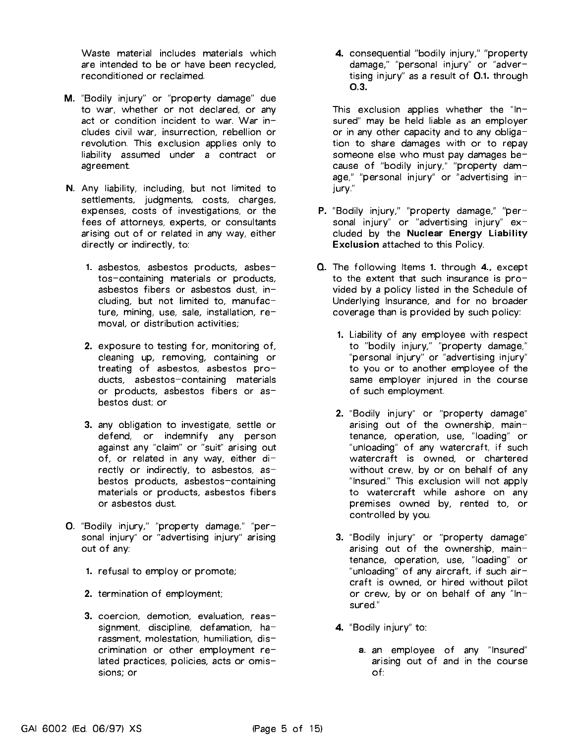Waste material includes materials which are intended to be or have been recycled, reconditioned or reclaimed.

- M. "Bodily injury" or "property damage" due to war, whether or not declared, or any act or condition incident to war. War includes civil war, insurrection, rebellion or revolution. This exclusion applies only to liability assumed under <sup>a</sup> contract or agreement.
- N. Any liability, including, but not limited to settlements, judgments, costs, charges, expenses, costs of investigations, or the fees of attorneys, experts, or consultants arising out of or related in any way, either directly or indirectly, to:
	- 1. asbestos, asbestos products, asbes tos-containing materials or products, asbestos fibers or asbestos dust, including, but not limited to, manufacture, mining, use, sale, installation,  $re$ moval, or distribution activities;
	- 2. exposure to testing for, monitoring of, cleaning up, removing, containing or treating of asbestos, asbestos products, asbestos-containing materials or products, asbestos fibers or asbestos dust; or
	- 3. any obligation to investigate, settle or defend, or indemnify any person against any "claim" or "suit" arising out of, or related in any way, either  $di$ rectly or indirectly, to asbestos, asbestos products, asbestos-containing materials or products, asbestos fibers or asbestos dust.
- O. "Bodily injury," "property damage," "personal injury" or "advertising injury" arising out of any:
	- 1. refusal to employ or promote;
	- 2. termination of employment;
	- 3. coercion, demotion, evaluation, reassignment, discipline, defamation,  $ha$ rassment, molestation, humiliation, discrimination or other employment related practices, policies, acts or omissions; or

4. consequential "bodily injury," "property damage," "personal injury" or "advertising injury" as <sup>a</sup> result of O.1. through O.3.

This exclusion applies whether the " $In$ sured" may be held liable as an employer or in any other capacity and to any obligation to share damages with or to repay someone else who must pay damages because of "bodily injury," "property dam age," "personal injury" or "advertising in jury."

- P. "Bodily injury," "property damage," "personal injury" or "advertising injury" excluded by the Nuclear Energy Liability Exclusion attached to this Policy.
- Q. The following Items 1. through 4., except to the extent that such insurance is provided by <sup>a</sup> policy listed in the Schedule of Underlying Insurance, and for no broader coverage than is provided by such policy:
	- 1. Liability of any employee with respect to "bodily injury," "property damage," "personal injury" or "advertising injury" to you or to another employee of the same employer injured in the course of such employment.
	- 2. "Bodily injury" or "property damage" arising out of the ownership, maintenance, operation, use, "loading" or "unloading" of any watercraft, if such watercraft is owned, or chartered without crew, by or on behalf of any "Insured." This exclusion will not apply to watercraft while ashore on any premises owned by, rented to, or controlled by you.
	- 3. "Bodily injury" or "property damage" arising out of the ownership, maintenance, operation, use, "loading" or "unloading" of any aircraft, if such aircraft is owned, or hired without pilot or crew, by or on behalf of any "In sured."
	- 4. "Bodily injury" to:
		- a. an employee of any "Insured" arising out of and in the course of: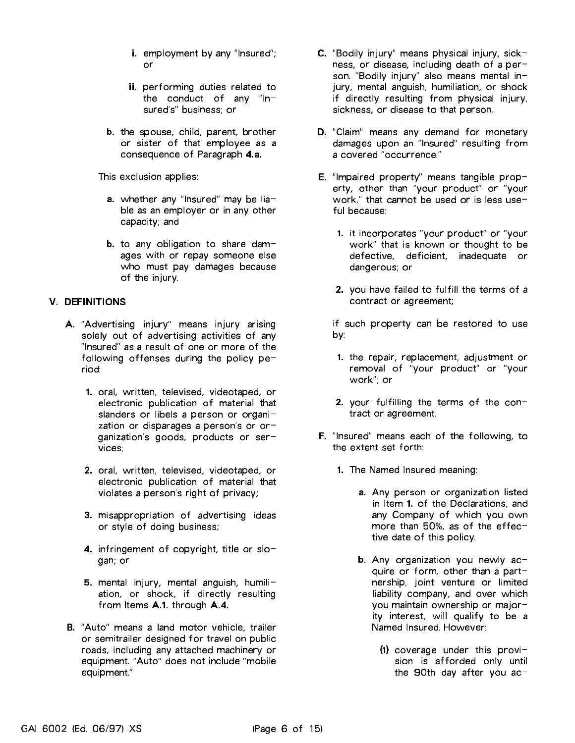- i. employment by any "Insured"; or
- ii. performing duties related to the conduct of any "In- sured's" business; or
- b. the spouse, child, parent, brother or sister of that employee as <sup>a</sup> consequence of Paragraph 4.a.

This exclusion applies:

- a. whether any "Insured" may be liable as an employer or in any other capacity; and
- b. to any obligation to share damages with or repay someone else who must pay damages because of the injury.

# V. DEFINITIONS

- A. "Advertising injury" means injury arising solely out of advertising activities of any "Insured" as <sup>a</sup> result of one or more of the following offenses during the policy period. riod:
	- 1. oral, written, televised, videotaped, or electronic publication of material that slanders or libels a person or organization or disparages a person's or or-<br>ganization's goods, products or services:  $\cdots$   $\cdots$   $\cdots$
	- 2. oral, written, televised, videotaped, or electronic publication of material that violates <sup>a</sup> person's right of privacy;
	- 3. misappropriation of advertising ideas or style of doing business;
	- **4.** infringement of copyright, title or slogan; or
	- 5. mental injury, mental anguish, humiliation, or shock, if directly resulting from Items A.1. through A.4.
- B. "Auto" means <sup>a</sup> land motor vehicle, trailer or semitrailer designed for travel on public roads, including any attached machinery or equipment. "Auto" does not include "mobile equipment."
- C. "Bodily injury" means physical injury, sickness, or disease, including death of <sup>a</sup> person. "Bodily injury" also means mental injury, mental anguish, humiliation, or shock if directly resulting from physical injury, sickness, or disease to that person.
- D. "Claim" means any demand for monetary damages upon an "Insured" resulting from <sup>a</sup> covered "occurrence."
- E. "Impaired property" means tangible property, other than "your product" or "your work," that cannot be used or is less useful because:
	- 1. it incorporates "your product" or "your work" that is known or thought to be defective, deficient, inadequate or dangerous; or
	- 2. you have failed to fulfill the terms of <sup>a</sup> contract or agreement;

if such property can be restored to use by:

- 1. the repair, replacement, adjustment or removal of "your product" or "your work"; or
- 2. your fulfilling the terms of the contract or agreement.
- F. "Insured" means each of the following, to the extent set forth:
	- 1. The Named Insured meaning:
		- a. Any person or organization listed in Item 1. of the Declarations, and any Company of which you own more than 50%, as of the effective date of this policy.
		- b. Any organization you newly  $ac$ quire or form, other than a partnership, joint venture or limited liability company, and over which you maintain ownership or majority interest, will qualify to be <sup>a</sup> Named Insured. However:
			- $(1)$  coverage under this provision is afforded only until the 90th day after you ac-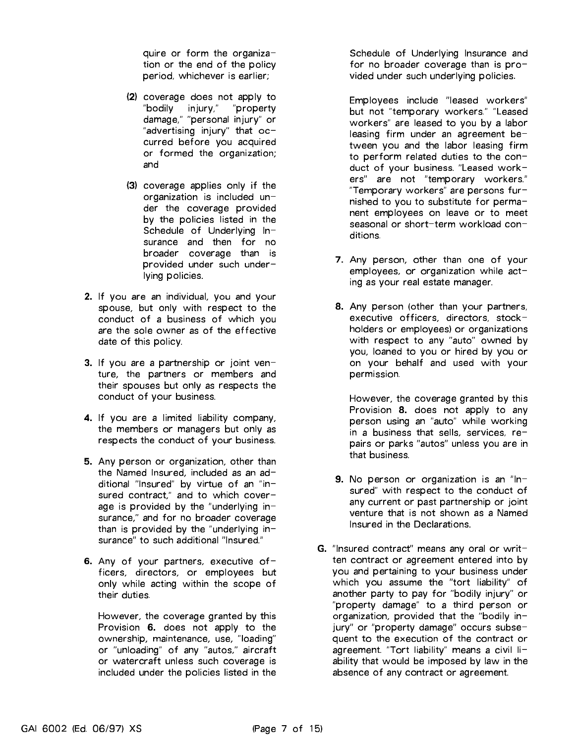quire or form the organization or the end of the policy period, whichever is earlier;

- (2) coverage does not apply to "bodily injury," "property damage," "personal injury" or "advertising injury" that  $oc$ curred before you acquired or formed the organization; and
- (3) coverage applies only if the organization is included under the coverage provided by the policies listed in the Schedule of Underlying Insurance and then for no broader coverage than is provided under such underlying policies.
- 2. If you are an individual, you and your spouse, but only with respect to the conduct of <sup>a</sup> business of which you are the sole owner as of the effective date of this policy.
- 3. If you are <sup>a</sup> partnership or joint venture, the partners or members and their spouses but only as respects the conduct of your business.
- 4. If you are <sup>a</sup> limited liability company, the members or managers but only as respects the conduct of your business.
- 5. Any person or organization, other than the Named Insured, included as an  $ad$ ditional "Insured" by virtue of an "insured contract," and to which coverage is provided by the "underlying insurance," and for no broader coverage than is provided by the "underlying insurance" to such additional "Insured."
- 6. Any of your partners, executive officers, directors, or employees but only while acting within the scope of their duties.

However, the coverage granted by this Provision 6. does not apply to the ownership, maintenance, use, "loading" or "unloading" of any "autos," aircraft or watercraft unless such coverage is included under the policies listed in the

Schedule of Underlying Insurance and for no broader coverage than is provided under such underlying policies.

Employees include "leased workers" but not "temporary workers." "Leased workers" are leased to you by <sup>a</sup> labor leasing firm under an agreement between you and the labor leasing firm to perform related duties to the conduct of your business. "Leased work ers" are not "temporary workers." "Temporary workers" are persons furnished to you to substitute for permanent employees on leave or to meet seasonal or short-term workload conditions.

- 7. Any person, other than one of your  $employees$ , or organization while  $act$ ing as your real estate manager.
- 8. Any person (other than your partners, executive officers, directors, stockholders or employees) or organizations with respect to any "auto" owned by you, loaned to you or hired by you or on your behalf and used with your permission.

However, the coverage granted by this Provision 8. does not apply to any person using an "auto" while working in a business that sells, services, repairs or parks "autos" unless you are in that business.

- 9. No person or organization is an "In sured" with respect to the conduct of any current or past partnership or joint venture that is not shown as a Named venture that is not shown as <sup>a</sup> Named Insured in the Declarations. Insured in the Declarations.
- G. "Insured contract" means any oral or written contract or agreement entered into by you and pertaining to your business under which you assume the "tort liability" of another party to pay for "bodily injury" or "property damage" to <sup>a</sup> third person or organization, provided that the "bodily in jury" or "property damage" occurs subsequent to the execution of the contract or agreement. "Tort liability" means a civil liability that would be imposed by law in the absence of any contract or agreement.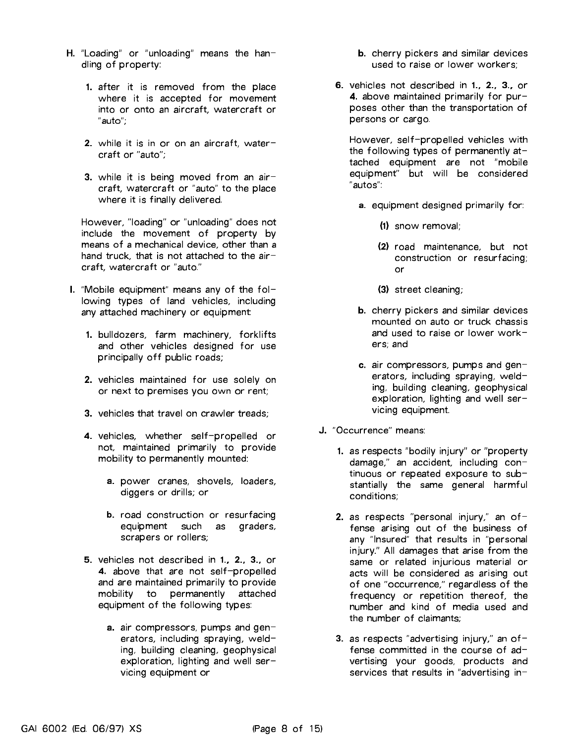- $H.$  "Loading" or "unloading" means the handling of property:
	- 1. after it is removed from the place where it is accepted for movement into or onto an aircraft, watercraft or "auto";
	- 2. while it is in or on an aircraft, watercraft or "auto";
	- 3. while it is being moved from an aircraft, watercraft or "auto" to the place where it is finally delivered.

However, "loading" or "unloading" does not include the movement of property by means of <sup>a</sup> mechanical device, other than <sup>a</sup> hand truck, that is not attached to the  $air$ craft, watercraft or "auto."

- I. "Mobile equipment" means any of the following types of land vehicles, including any attached machinery or equipment:
	- 1. bulldozers, farm machinery, forklifts and other vehicles designed for use principally off public roads;
	- 2. vehicles maintained for use solely on or next to premises you own or rent;
	- 3. vehicles that travel on crawler treads;
	- 4. vehicles, whether self-propelled or not, maintained primarily to provide mobility to permanently mounted:
		- a. power cranes, shovels, loaders, diggers or drills; or
		- b. road construction or resurfacing equipment such as graders, scrapers or rollers;
	- 5. vehicles not described in 1., 2., 3., or 4. above that are not self-propelled and are maintained primarily to provide mobility to permanently attached equipment of the following types:
		- a. air compressors, pumps and generators, including spraying, welding, building cleaning, geophysical exploration, lighting and well servicing equipment or
- b. cherry pickers and similar devices used to raise or lower workers;
- 6. vehicles not described in 1., 2., 3., or 4. above maintained primarily for purposes other than the transportation of persons or cargo.

However, self-propelled vehicles with the following types of permanently attached equipment are not "mobile equipment" but will be considered "autos":

- a. equipment designed primarily for:
	- $(1)$  snow removal: (1) snow removal;
	- (2) road maintenance, but not construction or resurfacing; or
	- (3) street cleaning;
- b. cherry pickers and similar devices mounted on auto or truck chassis and used to raise or lower workand used to raise or lower workers: and ers; and
- c. air compressors, pumps and generators, including spraying, welding, building cleaning, geophysical exploration, lighting and well servicing equipment.
- J. "Occurrence" means:
	- 1. as respects "bodily injury" or "property damage," an accident, including continuous or repeated exposure to substantially the same general harmful conditions:  $\sim$  conditions;  $\sim$  conditions;
	- 2. as respects "personal injury," an offense arising out of the business of any "Insured" that results in "personal injury." All damages that arise from the same or related injurious material or acts will be considered as arising out of one "occurrence," regardless of the frequency or repetition thereof, the number and kind of media used and the number of claimants;
	- 3. as respects "advertising injury," an  $of$ fense committed in the course of advertising your goods, products and services that results in "advertising in-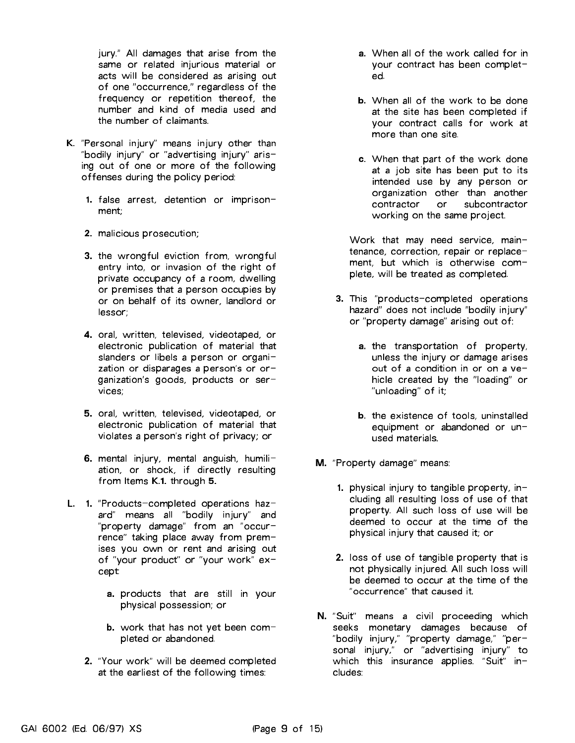jury." All damages that arise from the same or related injurious material or acts will be considered as arising out of one "occurrence," regardless of the frequency or repetition thereof, the number and kind of media used and the number of claimants.

- K. "Personal injury" means injury other than "bodily injury" or "advertising injury" arising out of one or more of the following offenses during the policy period:
	- 1. false arrest, detention or imprison ment;
	- 2. malicious prosecution;
	- 3. the wrongful eviction from, wrongful entry into, or invasion of the right of private occupancy of <sup>a</sup> room, dwelling or premises that <sup>a</sup> person occupies by or on behalf of its owner, landlord or lessor;
	- 4. oral, written, televised, videotaped, or electronic publication of material that slanders or libels a person or organization or disparages a person's or or-<br>ganization's goods, products or services;
	- 5. oral, written, televised, videotaped, or electronic publication of material that violates <sup>a</sup> person's right of privacy; or
	- 6. mental injury, mental anguish, humiliation, or shock, if directly resulting from Items K.1. through 5.
- L. 1. "Products-completed operations hazard" means all "bodily injury" and "property damage" from an "occur rence" taking place away from premises you own or rent and arising out of "your product" or "your work" except:
	- a. products that are still in your physical possession; or
	- b. work that has not yet been completed or abandoned.
	- 2. "Your work" will be deemed completed at the earliest of the following times:
- a. When all of the work called for in your contract has been completed.
- b. When all of the work to be done at the site has been completed if your contract calls for work at
- c. When that part of the work done at <sup>a</sup> job site has been put to its intended use by any person or organization other than another contractor  $\alpha$ <sup>-</sup> subcontractor working on the same project.

Work that may need service, maintenance, correction, repair or replace ment, but which is otherwise complete, will be treated as completed.

- 3. This "products-completed operations hazard" does not include "bodily injury" or "property damage" arising out of:
	- a. the transportation of property, unless the injury or damage arises out of <sup>a</sup> condition in or on <sup>a</sup> vehicle created by the "loading" or "unloading" of it;
	- b. the existence of tools, uninstalled equipment or abandoned or unused materials.
- M. "Property damage" means:
	- 1. physical injury to tangible property, including all resulting loss of use of that property. All such loss of use will be deemed to occur at the time of the physical injury that caused it; or
	- 2. loss of use of tangible property that is not physically injured. All such loss will be deemed to occur at the time of the "occurrence" that caused it.
- N. "Suit" means <sup>a</sup> civil proceeding which seeks monetary damages because of "bodily injury," "property damage," "personal injury," or "advertising injury" to which this insurance applies. "Suit" includes: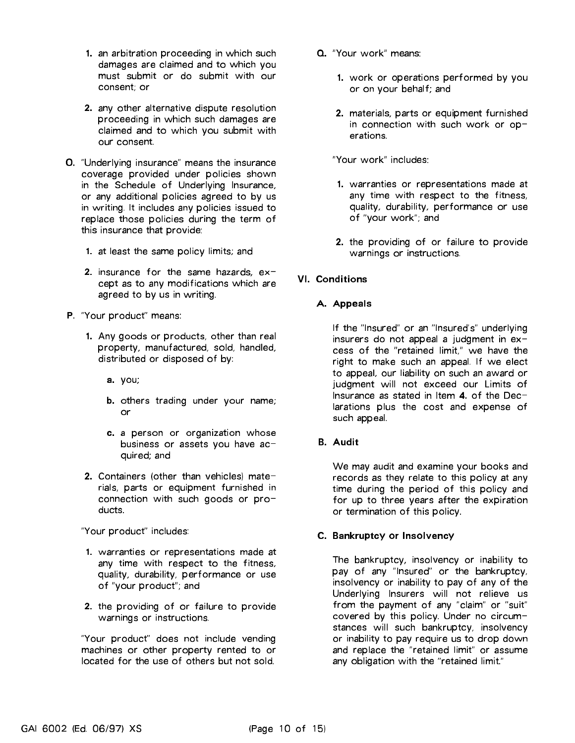- 1. an arbitration proceeding in which such damages are claimed and to which you must submit or do submit with our consent; or
- 2. any other alternative dispute resolution proceeding in which such damages are claimed and to which you submit with our consent.
- O. "Underlying insurance" means the insurance coverage provided under policies shown in the Schedule of Underlying Insurance, or any additional policies agreed to by us in writing. It includes any policies issued to replace those policies during the term of this insurance that provide:
	- 1. at least the same policy limits; and
	- 2. insurance for the same hazards,  $ex$ cept as to any modifications which are agreed to by us in writing.
- P. "Your product" means:
	- 1. Any goods or products, other than real property, manufactured, sold, handled, distributed or disposed of by:
		- a. you;
		- b. others trading under your name; or
		- c. <sup>a</sup> person or organization whose business or assets you have acquired; and
	- 2. Containers (other than vehicles) materials, parts or equipment furnished in connection with such goods or products.

"Your product" includes:

- 1. warranties or representations made at any time with respect to the fitness, quality, durability, performance or use of "your product"; and
- 2. the providing of or failure to provide warnings or instructions.

"Your product" does not include vending machines or other property rented to or located for the use of others but not sold.

- Q. "Your work" means:
	- 1. work or operations performed by you or on your behalf; and
	- 2. materials, parts or equipment furnished in connection with such work or op-

"Your work" includes:

- 1. warranties or representations made at any time with respect to the fitness, quality, durability, performance or use of "your work"; and
- 2. the providing of or failure to provide warnings or instructions.

# **VI. Conditions**

#### A. Appeals

If the "Insured" or an "Insured's" underlying insurers do not appeal a judgment in  $ex$ cess of the "retained limit," we have the right to make such an appeal. If we elect to appeal, our liability on such an award or judgment will not exceed our Limits of Insurance as stated in Item 4. of the Declarations plus the cost and expense of such appeal.

# B. Audit

We may audit and examine your books and records as they relate to this policy at any time during the period of this policy and for up to three years after the expiration or termination of this policy.

#### C. Bankruptcy or Insolvency

The bankruptcy, insolvency or inability to pay of any "Insured" or the bankruptcy, insolvency or inability to pay of any of the Underlying Insurers will not relieve us from the payment of any "claim" or "suit" covered by this policy. Under no circumstances will such bankruptcy, insolvency or inability to pay require us to drop down and replace the "retained limit" or assume any obligation with the "retained limit."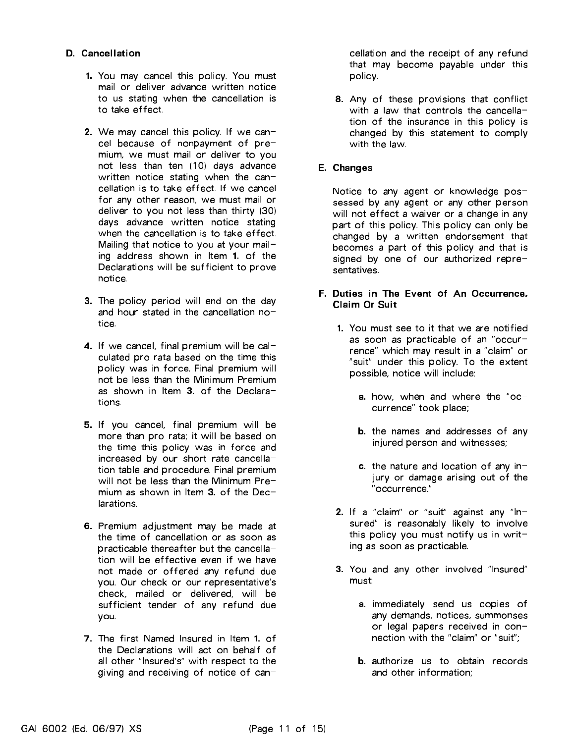#### D. Cancellation

- 1. You may cancel this policy. You must mail or deliver advance written notice to us stating when the cancellation is to take effect.
- 2. We may cancel this policy. If we cancel because of nonpayment of pre mium, we must mail or deliver to you not less than ten (10) days advance written notice stating when the cancellation is to take effect. If we cancel for any other reason, we must mail or deliver to you not less than thirty (30) days advance written notice stating when the cancellation is to take effect. Mailing that notice to you at your mailing address shown in Item 1. of the Declarations will be sufficient to prove notice.
- 3. The policy period will end on the day and hour stated in the cancellation  $no$ tice.
- 4. If we cancel, final premium will be calculated pro rata based on the time this policy was in force. Final premium will not be less than the Minimum Premium as shown in Item 3. of the Declarations.
- 5. If you cancel, final premium will be more than pro rata; it will be based on the time this policy was in force and increased by our short rate cancellation table and procedure. Final premium will not be less than the Minimum Premium as shown in Item 3. of the Dec**larations**
- 6. Premium adjustment may be made at the time of cancellation or as soon as practicable thereafter but the cancellation will be effective even if we have not made or offered any refund due you. Our check or our representative's check, mailed or delivered, will be sufficient tender of any refund due you.
- 7. The first Named Insured in Item 1. of the Declarations will act on behalf of all other "Insured's" with respect to the giving and receiving of notice of can-

cellation and the receipt of any refund that may become payable under this policy.

8. Any of these provisions that conflict with a law that controls the cancellation of the insurance in this policy is changed by this statement to comply with the law.

#### E. Changes

Notice to any agent or knowledge possessed by any agent or any other person will not effect <sup>a</sup> waiver or <sup>a</sup> change in any part of this policy. This policy can only be changed by <sup>a</sup> written endorsement that becomes <sup>a</sup> part of this policy and that is signed by one of our authorized repre-

#### F. Duties in The Event of An Occurrence, **Claim Or Suit**

- 1. You must see to it that we are notified as soon as practicable of an "occur rence" which may result in <sup>a</sup> "claim" or "suit" under this policy. To the extent possible, notice will include:
	- a. how, when and where the "occurrence" took place;
	- b. the names and addresses of any injured person and witnesses;
	- c. the nature and location of any injury or damage arising out of the "occurrence."
- 2. If a "claim" or "suit" against any "Insured" is reasonably likely to involve this policy you must notify us in writing as soon as practicable.
- 3. You and any other involved "Insured" must<sup>-</sup>
	- a. immediately send us copies of any demands, notices, summonses or legal papers received in connection with the "claim" or "suit";
	- b. authorize us to obtain records and other information;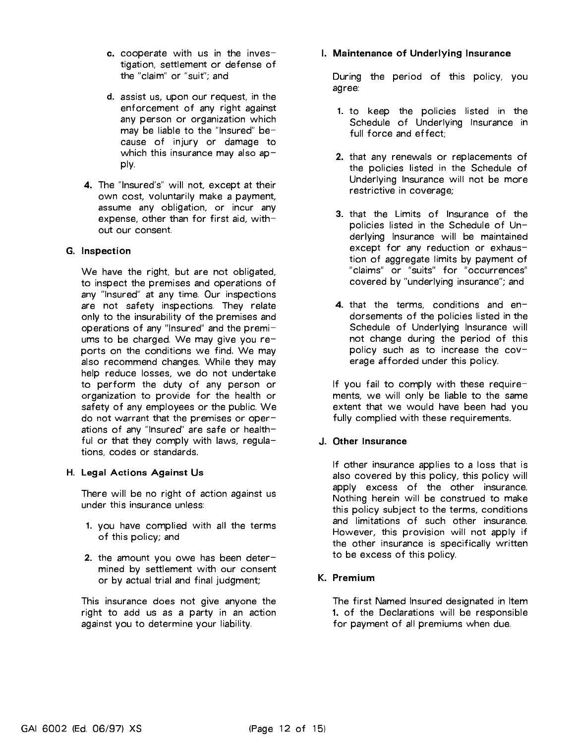- c. cooperate with us in the investigation, settlement or defense of the "claim" or "suit"; and
- d. assist us, upon our request, in the enforcement of any right against any person or organization which may be liable to the "Insured" because of injury or damage to which this insurance may also apply.
- 4. The "Insured's" will not, except at their own cost, voluntarily make <sup>a</sup> payment, assume any obligation, or incur any expense, other than for first aid, with-

# G. Inspection

We have the right, but are not obligated, to inspect the premises and operations of any "Insured" at any time. Our inspections are not safety inspections. They relate only to the insurability of the premises and operations of any "Insured" and the premiums to be charged. We may give you reports on the conditions we find. We may also recommend changes. While they may help reduce losses, we do not undertake to perform the duty of any person or organization to provide for the health or safety of any employees or the public. We do not warrant that the premises or operations of any "Insured" are safe or healthful or that they comply with laws, regulations, codes or standards.

# H. Legal Actions Against Us

There will be no right of action against us under this insurance unless:

- 1. you have complied with all the terms of this policy; and
- 2. the amount you owe has been determined by settlement with our consent or by actual trial and final judgment;

This insurance does not give anyone the right to add us as <sup>a</sup> party in an action against you to determine your liability.

# I. Maintenance of Underlying Insurance

During the period of this policy, you agree:

- 1. to keep the policies listed in the Schedule of Underlying Insurance in full force and effect;
- 2. that any renewals or replacements of the policies listed in the Schedule of Underlying Insurance will not be more restrictive in coverage;
- 3. that the Limits of Insurance of the policies listed in the Schedule of Underlying Insurance will be maintained except for any reduction or exhaustion of aggregate limits by payment of "claims" or "suits" for "occurrences" covered by "underlying insurance"; and
- 4. that the terms, conditions and endorsements of the policies listed in the Schedule of Underlying Insurance will not change during the period of this policy such as to increase the coverage afforded under this policy.

If you fail to comply with these requirements, we will only be liable to the same extent that we would have been had you fully complied with these requirements.

# J. Other Insurance

If other insurance applies to <sup>a</sup> loss that is also covered by this policy, this policy will apply excess of the other insurance. Nothing herein will be construed to make this policy subject to the terms, conditions and limitations of such other insurance. However, this provision will not apply if the other insurance is specifically written to be excess of this policy.

# K. Premium

The first Named Insured designated in Item 1. of the Declarations will be responsible for payment of all premiums when due.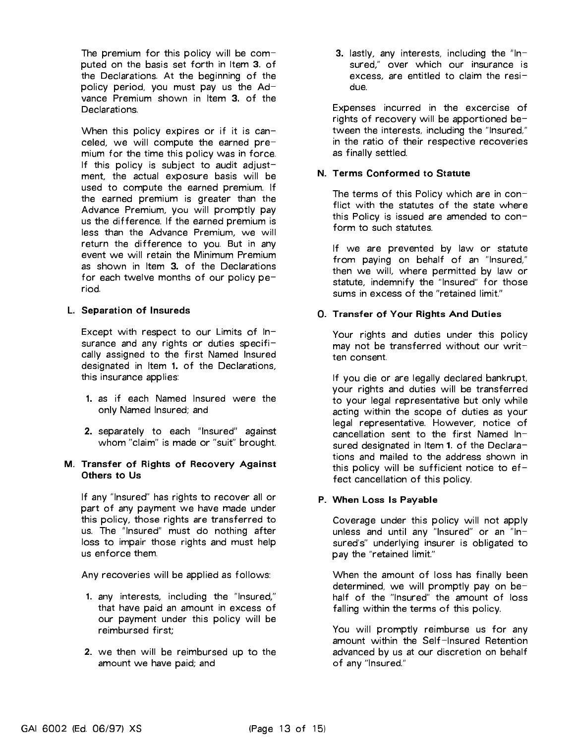The premium for this policy will be computed on the basis set forth in Item 3. of the Declarations. At the beginning of the policy period, you must pay us the Advance Premium shown in Item 3. of the Declarations.

When this policy expires or if it is canceled, we will compute the earned pre mium for the time this policy was in force. If this policy is subject to audit adjustment, the actual exposure basis will be used to compute the earned premium. If the earned premium is greater than the Advance Premium, you will promptly pay us the difference. If the earned premium is less than the Advance Premium, we will return the difference to you. But in any event we will retain the Minimum Premium as shown in Item 3. of the Declarations for each twelve months of our policy period.

#### L. Separation of Insureds

Except with respect to our Limits of Insurance and any rights or duties specifically assigned to the first Named Insured designated in Item 1. of the Declarations, this insurance applies:

- 1. as if each Named Insured were the only Named Insured; and
- 2. separately to each "Insured" against whom "claim" is made or "suit" brought.

#### M. Transfer of Rights of Recovery Against Others to Us

If any "Insured" has rights to recover all or part of any payment we have made under this policy, those rights are transferred to us. The "Insured" must do nothing after loss to impair those rights and must help us enforce them.

Any recoveries will be applied as follows:

- 1. any interests, including the "Insured," that have paid an amount in excess of our payment under this policy will be reimbursed first;
- 2. we then will be reimbursed up to the amount we have paid; and

3. lastly, any interests, including the "In sured," over which our insurance is excess, are entitled to claim the residue.

Expenses incurred in the excercise of rights of recovery will be apportioned between the interests, including the "Insured," in the ratio of their respective recoveries as finally settled.

# N. Terms Conformed to Statute

The terms of this Policy which are in conflict with the statutes of the state where this Policy is issued are amended to conform to such statutes.

If we are prevented by law or statute from paying on behalf of an "Insured," then we will, where permitted by law or statute, indemnify the "Insured" for those sums in excess of the "retained limit." sums in excess of the "retained limit."

# O. Transfer of Your Rights And Duties

Your rights and duties under this policy may not be transferred without our written consent.

If you die or are legally declared bankrupt, your rights and duties will be transferred to your legal representative but only while acting within the scope of duties as your legal representative. However, notice of cancellation sent to the first Named Insured designated in Item 1. of the Declarations and mailed to the address shown in this policy will be sufficient notice to  $ef$ fect cancellation of this policy.

# P. When Loss Is Payable

Coverage under this policy will not apply unless and until any "Insured" or an "In- sured's" underlying insurer is obligated to pay the "retained limit."

When the amount of loss has finally been determined, we will promptly pay on behalf of the "Insured" the amount of loss falling within the terms of this policy.

You will promptly reimburse us for any amount within the Self-Insured Retention advanced by us at our discretion on behalf of any "Insured."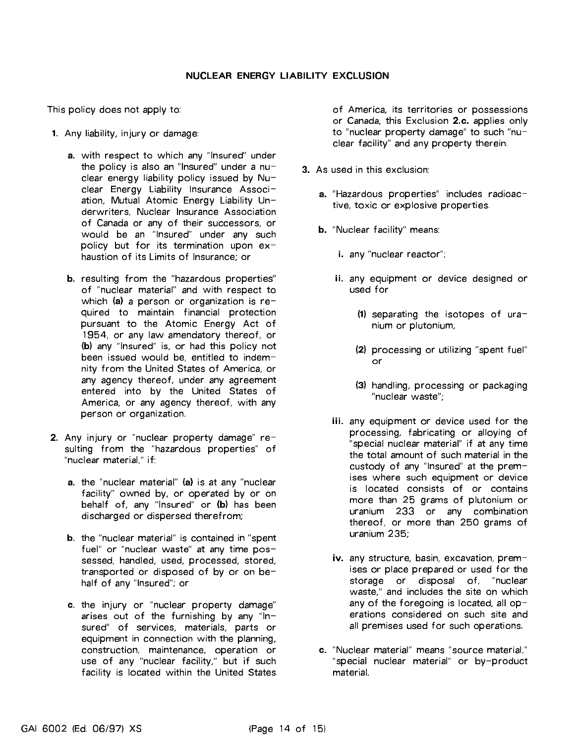This policy does not apply to:

- 1. Any liability, injury or damage:
	- a. with respect to which any "Insured" under the policy is also an "Insured" under a nuclear energy liability policy issued by Nuclear Energy Liability Insurance Association, Mutual Atomic Energy Liability Underwriters, Nuclear Insurance Association of Canada or any of their successors, or would be an "Insured" under any such policy but for its termination upon  $ex$ haustion of its Limits of Insurance; or
	- b. resulting from the "hazardous properties" of "nuclear material" and with respect to which (a) a person or organization is required to maintain financial protection pursuant to the Atomic Energy Act of 1954, or any law amendatory thereof, or (b) any "Insured" is, or had this policy not been issued would be, entitled to indemnity from the United States of America, or any agency thereof, under any agreement entered into by the United States of America, or any agency thereof, with any person or organization.
- 2. Any injury or "nuclear property damage" resulting from the "hazardous properties" of "nuclear material," if:
	- a. the "nuclear material" (a) is at any "nuclear facility" owned by, or operated by or on behalf of, any "Insured" or (b) has been discharged or dispersed therefrom;
	- b. the "nuclear material" is contained in "spent fuel" or "nuclear waste" at any time possessed, handled, used, processed, stored, transported or disposed of by or on behalf of any "Insured"; or
	- c. the injury or "nuclear property damage" arises out of the furnishing by any " $In$ sured" of services, materials, parts or equipment in connection with the planning, construction, maintenance, operation or use of any "nuclear facility," but if such facility is located within the United States

of America, its territories or possessions or Canada, this Exclusion 2.c. applies only to "nuclear property damage" to such "nuclear facility" and any property therein.

- 3. As used in this exclusion: 3. As used in this exclusion:
	- a. "Hazardous properties" includes radioactive, toxic or explosive properties.
	- b. "Nuclear facility" means:
		- i. any "nuclear reactor";
		- ii. any equipment or device designed or used for
			- $(1)$  separating the isotopes of uranium or plutonium,
			- (2) processing or utilizing "spent fuel"  $\alpha$ <sup> $\alpha$ </sup>
			- (3) handling, processing or packaging "nuclear waste";
		- iii. any equipment or device used for the processing, fabricating or alloying of "special nuclear material" if at any time the total amount of such material in the custody of any "Insured" at the premises where such equipment or device is located consists of or contains more than <sup>25</sup> grams of plutonium or uranium <sup>233</sup> or any combination thereof, or more than <sup>250</sup> grams of uranium 235;
		- iv. any structure, basin, excavation, premises or place prepared or used for the storage or disposal of, "nuclear waste," and includes the site on which any of the foregoing is located, all operations considered on such site and all premises used for such operations.
	- c. "Nuclear material" means "source material," "special nuclear material" or by-product material.